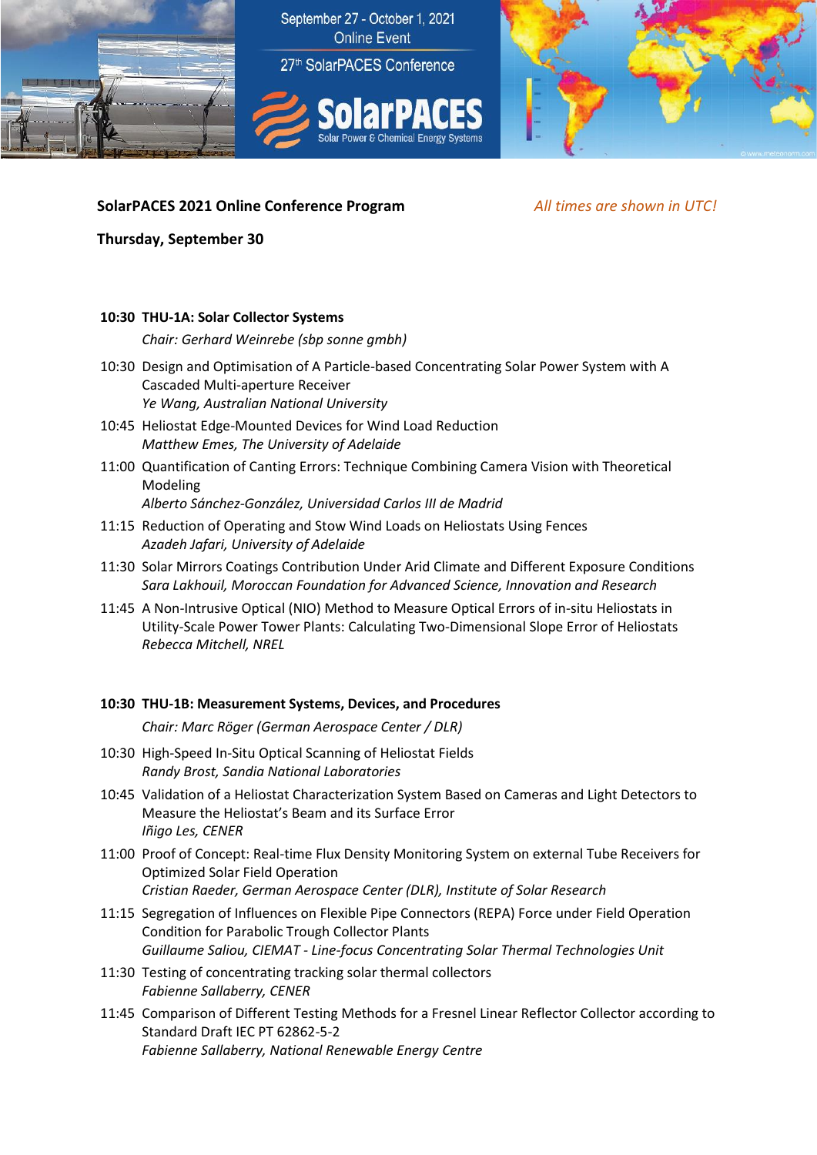

## **SolarPACES 2021 Online Conference Program** *All times are shown in UTC!*

**Thursday, September 30**

### **10:30 THU-1A: Solar Collector Systems**

*Chair: Gerhard Weinrebe (sbp sonne gmbh)*

- 10:30 Design and Optimisation of A Particle-based Concentrating Solar Power System with A Cascaded Multi-aperture Receiver *Ye Wang, Australian National University*
- 10:45 Heliostat Edge-Mounted Devices for Wind Load Reduction *Matthew Emes, The University of Adelaide*
- 11:00 Quantification of Canting Errors: Technique Combining Camera Vision with Theoretical Modeling

*Alberto Sánchez-González, Universidad Carlos III de Madrid*

- 11:15 Reduction of Operating and Stow Wind Loads on Heliostats Using Fences *Azadeh Jafari, University of Adelaide*
- 11:30 Solar Mirrors Coatings Contribution Under Arid Climate and Different Exposure Conditions *Sara Lakhouil, Moroccan Foundation for Advanced Science, Innovation and Research*
- 11:45 A Non-Intrusive Optical (NIO) Method to Measure Optical Errors of in-situ Heliostats in Utility-Scale Power Tower Plants: Calculating Two-Dimensional Slope Error of Heliostats *Rebecca Mitchell, NREL*

### **10:30 THU-1B: Measurement Systems, Devices, and Procedures**

*Chair: Marc Röger (German Aerospace Center / DLR)*

- 10:30 High-Speed In-Situ Optical Scanning of Heliostat Fields *Randy Brost, Sandia National Laboratories*
- 10:45 Validation of a Heliostat Characterization System Based on Cameras and Light Detectors to Measure the Heliostat's Beam and its Surface Error *Iñigo Les, CENER*
- 11:00 Proof of Concept: Real-time Flux Density Monitoring System on external Tube Receivers for Optimized Solar Field Operation *Cristian Raeder, German Aerospace Center (DLR), Institute of Solar Research*
- 11:15 Segregation of Influences on Flexible Pipe Connectors (REPA) Force under Field Operation Condition for Parabolic Trough Collector Plants *Guillaume Saliou, CIEMAT - Line-focus Concentrating Solar Thermal Technologies Unit*
- 11:30 Testing of concentrating tracking solar thermal collectors *Fabienne Sallaberry, CENER*
- 11:45 Comparison of Different Testing Methods for a Fresnel Linear Reflector Collector according to Standard Draft IEC PT 62862-5-2 *Fabienne Sallaberry, National Renewable Energy Centre*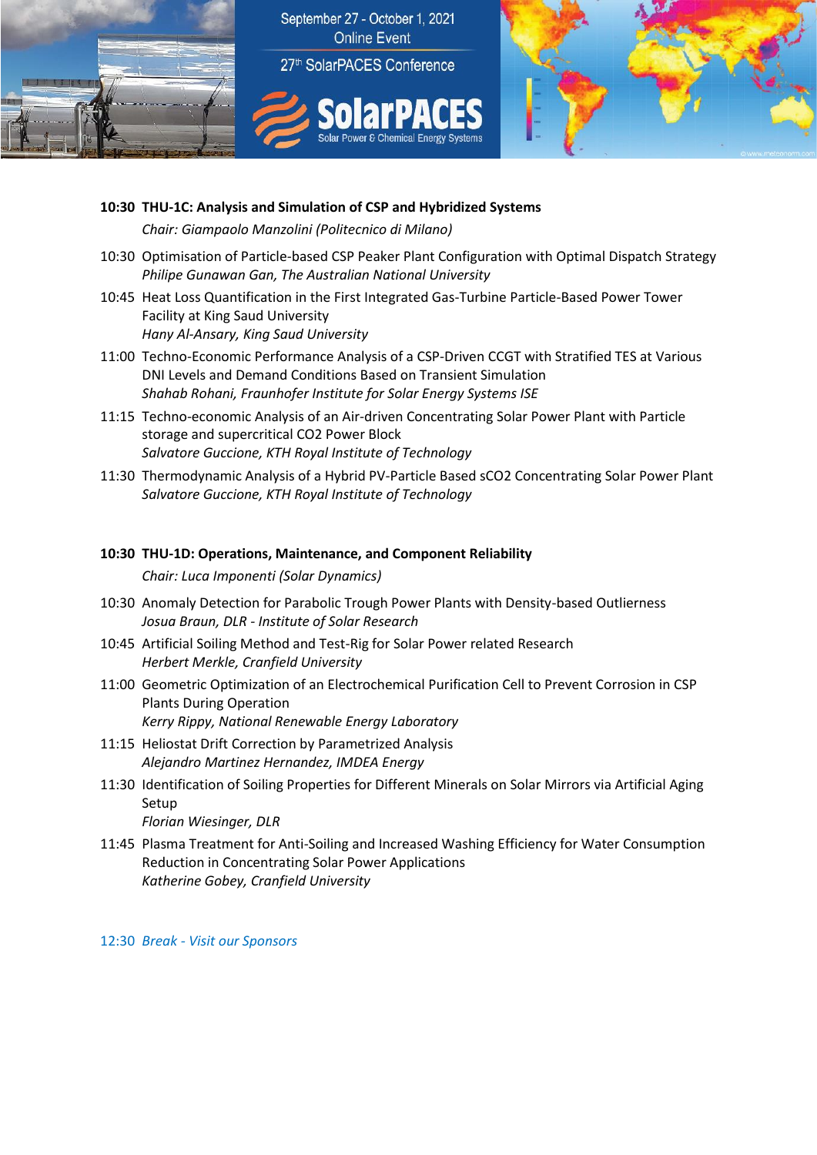

**10:30 THU-1C: Analysis and Simulation of CSP and Hybridized Systems** *Chair: Giampaolo Manzolini (Politecnico di Milano)*

- 10:30 Optimisation of Particle-based CSP Peaker Plant Configuration with Optimal Dispatch Strategy *Philipe Gunawan Gan, The Australian National University*
- 10:45 Heat Loss Quantification in the First Integrated Gas-Turbine Particle-Based Power Tower Facility at King Saud University *Hany Al-Ansary, King Saud University*
- 11:00 Techno-Economic Performance Analysis of a CSP-Driven CCGT with Stratified TES at Various DNI Levels and Demand Conditions Based on Transient Simulation *Shahab Rohani, Fraunhofer Institute for Solar Energy Systems ISE*
- 11:15 Techno-economic Analysis of an Air-driven Concentrating Solar Power Plant with Particle storage and supercritical CO2 Power Block *Salvatore Guccione, KTH Royal Institute of Technology*
- 11:30 Thermodynamic Analysis of a Hybrid PV-Particle Based sCO2 Concentrating Solar Power Plant *Salvatore Guccione, KTH Royal Institute of Technology*

### **10:30 THU-1D: Operations, Maintenance, and Component Reliability**

*Chair: Luca Imponenti (Solar Dynamics)*

- 10:30 Anomaly Detection for Parabolic Trough Power Plants with Density-based Outlierness *Josua Braun, DLR - Institute of Solar Research*
- 10:45 Artificial Soiling Method and Test-Rig for Solar Power related Research *Herbert Merkle, Cranfield University*
- 11:00 Geometric Optimization of an Electrochemical Purification Cell to Prevent Corrosion in CSP Plants During Operation *Kerry Rippy, National Renewable Energy Laboratory*
- 11:15 Heliostat Drift Correction by Parametrized Analysis *Alejandro Martinez Hernandez, IMDEA Energy*
- 11:30 Identification of Soiling Properties for Different Minerals on Solar Mirrors via Artificial Aging Setup

*Florian Wiesinger, DLR* 

11:45 Plasma Treatment for Anti-Soiling and Increased Washing Efficiency for Water Consumption Reduction in Concentrating Solar Power Applications *Katherine Gobey, Cranfield University*

12:30 *Break - Visit our Sponsors*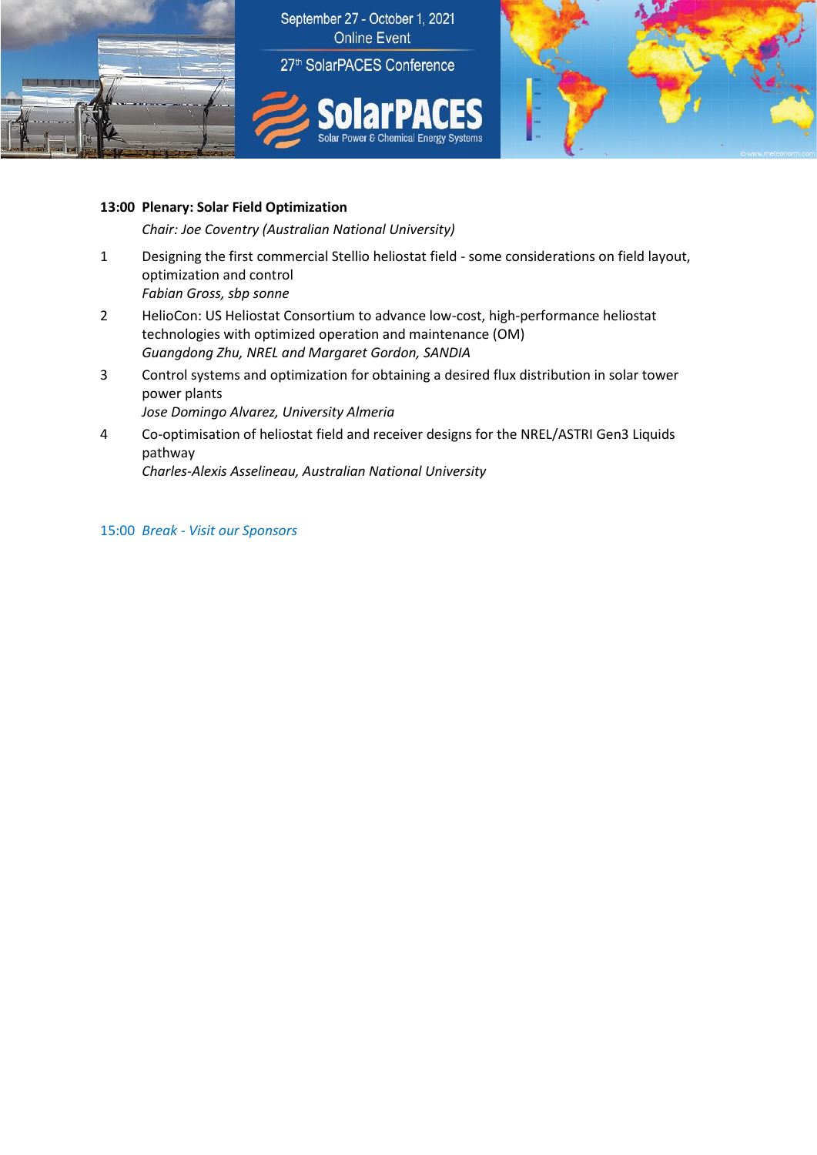



## **13:00 Plenary: Solar Field Optimization**

*Chair: Joe Coventry (Australian National University)*

- 1 Designing the first commercial Stellio heliostat field some considerations on field layout, optimization and control *Fabian Gross, sbp sonne*
- 2 HelioCon: US Heliostat Consortium to advance low-cost, high-performance heliostat technologies with optimized operation and maintenance (OM) *Guangdong Zhu, NREL and Margaret Gordon, SANDIA*
- 3 Control systems and optimization for obtaining a desired flux distribution in solar tower power plants

*Jose Domingo Alvarez, University Almeria*

4 Co-optimisation of heliostat field and receiver designs for the NREL/ASTRI Gen3 Liquids pathway

*Charles-Alexis Asselineau, Australian National University*

15:00 *Break - Visit our Sponsors*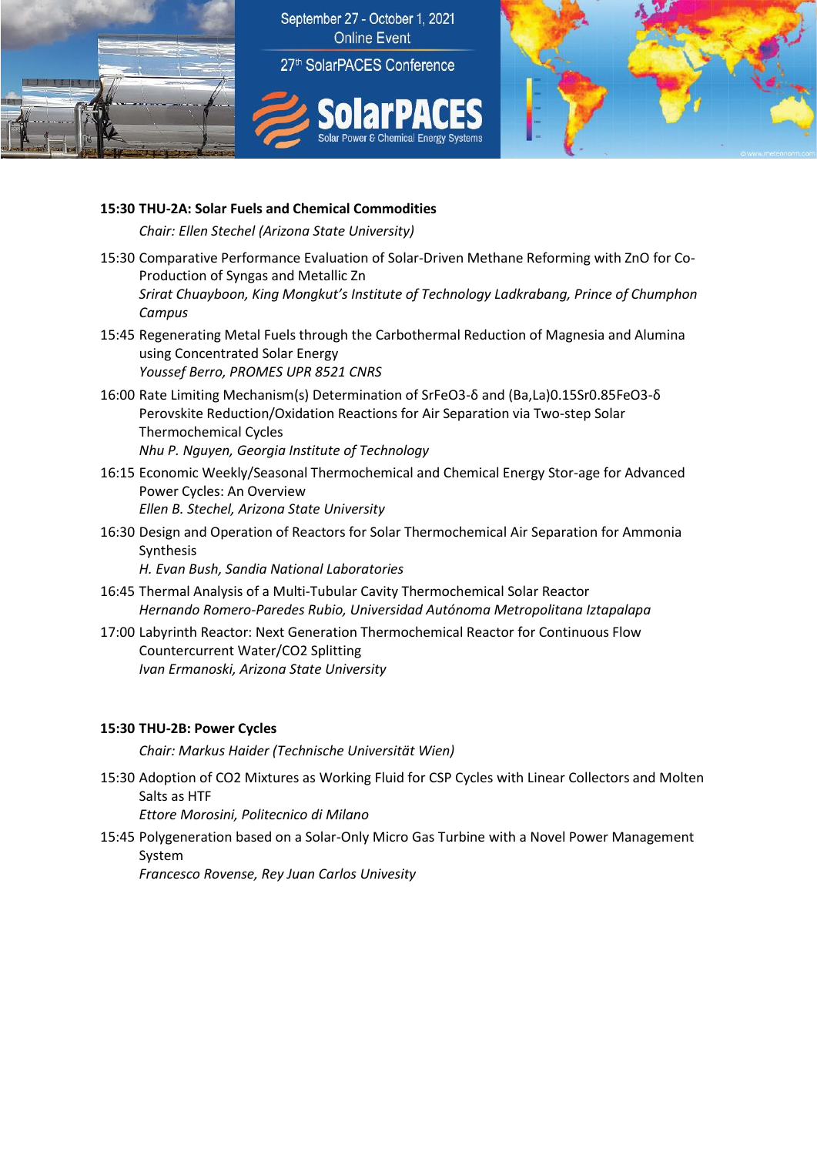



# **15:30 THU-2A: Solar Fuels and Chemical Commodities**

*Chair: Ellen Stechel (Arizona State University)*

- 15:30 Comparative Performance Evaluation of Solar-Driven Methane Reforming with ZnO for Co-Production of Syngas and Metallic Zn *Srirat Chuayboon, King Mongkut's Institute of Technology Ladkrabang, Prince of Chumphon Campus*
- 15:45 Regenerating Metal Fuels through the Carbothermal Reduction of Magnesia and Alumina using Concentrated Solar Energy *Youssef Berro, PROMES UPR 8521 CNRS*
- 16:00 Rate Limiting Mechanism(s) Determination of SrFeO3-δ and (Ba,La)0.15Sr0.85FeO3-δ Perovskite Reduction/Oxidation Reactions for Air Separation via Two-step Solar Thermochemical Cycles *Nhu P. Nguyen, Georgia Institute of Technology*
- 16:15 Economic Weekly/Seasonal Thermochemical and Chemical Energy Stor-age for Advanced Power Cycles: An Overview *Ellen B. Stechel, Arizona State University*
- 16:30 Design and Operation of Reactors for Solar Thermochemical Air Separation for Ammonia Synthesis

*H. Evan Bush, Sandia National Laboratories*

- 16:45 Thermal Analysis of a Multi-Tubular Cavity Thermochemical Solar Reactor *Hernando Romero-Paredes Rubio, Universidad Autónoma Metropolitana Iztapalapa*
- 17:00 Labyrinth Reactor: Next Generation Thermochemical Reactor for Continuous Flow Countercurrent Water/CO2 Splitting *Ivan Ermanoski, Arizona State University*

# **15:30 THU-2B: Power Cycles**

*Chair: Markus Haider (Technische Universität Wien)*

15:30 Adoption of CO2 Mixtures as Working Fluid for CSP Cycles with Linear Collectors and Molten Salts as HTF

*Ettore Morosini, Politecnico di Milano*

15:45 Polygeneration based on a Solar-Only Micro Gas Turbine with a Novel Power Management System

*Francesco Rovense, Rey Juan Carlos Univesity*